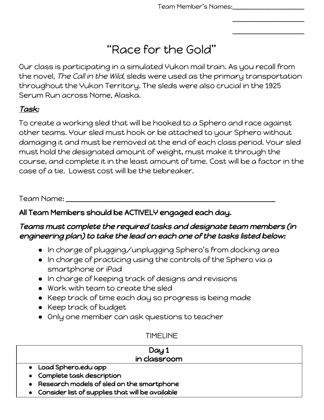\_\_\_\_\_\_\_\_\_\_\_\_\_\_\_\_\_\_\_\_

\_\_\_\_\_\_\_\_\_\_\_\_\_\_\_\_\_\_\_\_

#### "Race for the Gold"

Our class is participating in a simulated Yukon mail train. As you recall from the novel, The Call in the Wild, sleds were used as the primary transportation throughout the Yukon Territory. The sleds were also crucial in the 1925 Serum Run across Nome, Alaska.

#### Task:

To create a working sled that will be hooked to a Sphero and race against other teams. Your sled must hook or be attached to your Sphero without damaging it and must be removed at the end of each class period. Your sled must hold the designated amount of weight, must make it through the course, and complete it in the least amount of time. Cost will be a factor in the case of a tie. Lowest cost will be the tiebreaker.

#### Team Name: \_\_\_\_\_\_\_\_\_\_\_\_\_\_\_\_\_\_\_\_\_\_\_\_\_\_\_\_\_\_\_\_\_\_\_\_\_\_\_\_\_\_\_\_\_\_\_\_\_\_

#### All Team Members should be ACTIVELY engaged each day.

#### Teams must complete the required tasks and designate team members (in engineering plan) to take the lead on each one of the tasks listed below:

- In charge of plugging/unplugging Sphero's from docking area
- In charge of practicing using the controls of the Sphero via a smartphone or iPad
- In charge of keeping track of designs and revisions
- Work with team to create the sled
- Keep track of time each day so progress is being made
- Keep track of budget
- Only one member can ask questions to teacher

#### TIMELINE

| Day 1<br>in classroom                              |
|----------------------------------------------------|
| • Load Sphero.edu app                              |
| • Complete task description                        |
| • Research models of sled on the smartphone        |
| • Consider list of supplies that will be available |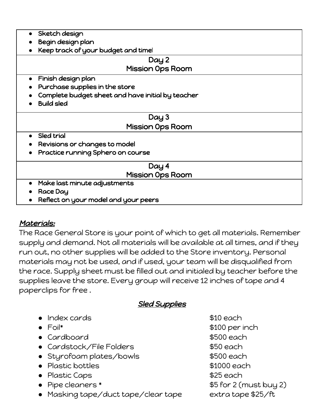- **●** Sketch design
- **●** Begin design plan
- **●** Keep track of your budget and timel

#### Day 2 Mission Ops Room

- **●** Finish design plan
- **●** Purchase supplies in the store
- **●** Complete budget sheet and have initial by teacher
- **●** Build sled

#### Day 3 Mission Ops Room

- **●** Sled trial
- **●** Revisions or changes to model
- **●** Practice running Sphero on course

#### Day 4 Mission Ops Room

- **●** Make last minute adjustments
- **●** Race Day
- **●** Reflect on your model and your peers

#### Materials:

The Race General Store is your point of which to get all materials. Remember supply and demand. Not all materials will be available at all times, and if they run out, no other supplies will be added to the Store inventory. Personal materials may not be used, and if used, your team will be disqualified from the race. Supply sheet must be filled out and initialed by teacher before the supplies leave the store. Every group will receive 12 inches of tape and 4 paperclips for free .

#### Sled Supplies

- Index cards \$10 each
- 
- Cardboard \$500 each
- Cardstock/File Folders \$50 each
- Styrofoam plates/bowls \$500 each
- Plastic bottles \$1000 each
- Plastic Caps \$25 each
- 
- Masking tape/duct tape/clear tape extra tape \$25/ft

● Foil\* \$100 per inch • Pipe cleaners \*  $$5$  for 2 (must buy 2)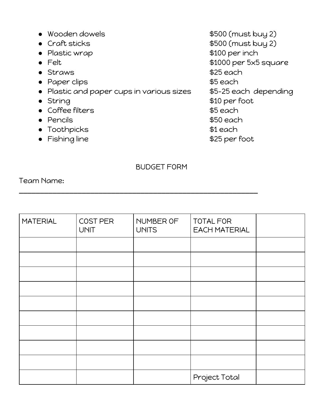• Wooden dowels \$500 (must buy 2) • Craft sticks \$500 (must buy 2) • Plastic wrap  $\bullet$  Plastic wrap  $\bullet$  5100 per inch ● Felt \$1000 per 5x5 square ● Straws ● Straws → Straws → Straws → Straws → Straws → Straws → Straws → Straws → Straws → Straws → Straws → Straws → Straws → Straws → Straws → Straws → Straws → Straws → Straws → Straws → Straws → Straws → Straws → Str ● Paper clips \$5 each • Plastic and paper cups in various sizes \$5-25 each depending ● String ● String \$10 per foot ● Coffee filters \$5 each ● Pencils \$50 each ● Toothpicks \$1 each • Fishing line  $$25\,\mathrm{per\,foot}$ 

#### BUDGET FORM

\_\_\_\_\_\_\_\_\_\_\_\_\_\_\_\_\_\_\_\_\_\_\_\_\_\_\_\_\_\_\_\_\_\_\_\_\_\_\_\_\_\_\_\_\_\_\_\_\_\_\_\_\_\_\_\_\_

Team Name:

| <b>MATERIAL</b> | COST PER<br><b>UNIT</b> | NUMBER OF<br><b>UNITS</b> | <b>TOTAL FOR</b><br><b>EACH MATERIAL</b> |  |
|-----------------|-------------------------|---------------------------|------------------------------------------|--|
|                 |                         |                           |                                          |  |
|                 |                         |                           |                                          |  |
|                 |                         |                           |                                          |  |
|                 |                         |                           |                                          |  |
|                 |                         |                           |                                          |  |
|                 |                         |                           |                                          |  |
|                 |                         |                           |                                          |  |
|                 |                         |                           |                                          |  |
|                 |                         |                           |                                          |  |
|                 |                         |                           | Project Total                            |  |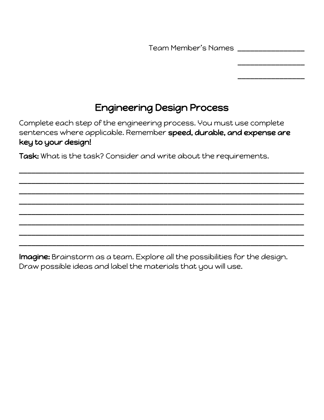Team Member's Names \_\_\_\_\_\_\_\_\_\_\_\_\_\_\_\_

\_\_\_\_\_\_\_\_\_\_\_\_\_\_\_\_

\_\_\_\_\_\_\_\_\_\_\_\_\_\_\_\_

#### Engineering Design Process

**\_\_\_\_\_\_\_\_\_\_\_\_\_\_\_\_\_\_\_\_\_\_\_\_\_\_\_\_\_\_\_\_\_\_\_\_\_\_\_\_\_\_\_\_\_\_\_\_\_\_\_\_\_\_\_\_\_\_\_\_\_\_\_\_\_\_\_\_\_ \_\_\_\_\_\_\_\_\_\_\_\_\_\_\_\_\_\_\_\_\_\_\_\_\_\_\_\_\_\_\_\_\_\_\_\_\_\_\_\_\_\_\_\_\_\_\_\_\_\_\_\_\_\_\_\_\_\_\_\_\_\_\_\_\_\_\_\_\_ \_\_\_\_\_\_\_\_\_\_\_\_\_\_\_\_\_\_\_\_\_\_\_\_\_\_\_\_\_\_\_\_\_\_\_\_\_\_\_\_\_\_\_\_\_\_\_\_\_\_\_\_\_\_\_\_\_\_\_\_\_\_\_\_\_\_\_\_\_ \_\_\_\_\_\_\_\_\_\_\_\_\_\_\_\_\_\_\_\_\_\_\_\_\_\_\_\_\_\_\_\_\_\_\_\_\_\_\_\_\_\_\_\_\_\_\_\_\_\_\_\_\_\_\_\_\_\_\_\_\_\_\_\_\_\_\_\_\_ \_\_\_\_\_\_\_\_\_\_\_\_\_\_\_\_\_\_\_\_\_\_\_\_\_\_\_\_\_\_\_\_\_\_\_\_\_\_\_\_\_\_\_\_\_\_\_\_\_\_\_\_\_\_\_\_\_\_\_\_\_\_\_\_\_\_\_\_\_ \_\_\_\_\_\_\_\_\_\_\_\_\_\_\_\_\_\_\_\_\_\_\_\_\_\_\_\_\_\_\_\_\_\_\_\_\_\_\_\_\_\_\_\_\_\_\_\_\_\_\_\_\_\_\_\_\_\_\_\_\_\_\_\_\_\_\_\_\_ \_\_\_\_\_\_\_\_\_\_\_\_\_\_\_\_\_\_\_\_\_\_\_\_\_\_\_\_\_\_\_\_\_\_\_\_\_\_\_\_\_\_\_\_\_\_\_\_\_\_\_\_\_\_\_\_\_\_\_\_\_\_\_\_\_\_\_\_\_ \_\_\_\_\_\_\_\_\_\_\_\_\_\_\_\_\_\_\_\_\_\_\_\_\_\_\_\_\_\_\_\_\_\_\_\_\_\_\_\_\_\_\_\_\_\_\_\_\_\_\_\_\_\_\_\_\_\_\_\_\_\_\_\_\_\_\_\_\_**

Complete each step of the engineering process. You must use complete sentences where applicable. Remember speed, durable, and expense are key to your design!

Task: What is the task? Consider and write about the requirements.

Imagine: Brainstorm as a team. Explore all the possibilities for the design. Draw possible ideas and label the materials that you will use.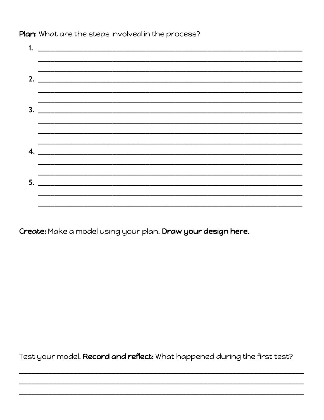Plan: What are the steps involved in the process?

| $\mathbf{1}$ . |  |
|----------------|--|
|                |  |
|                |  |
|                |  |
|                |  |
|                |  |
|                |  |
|                |  |
|                |  |
|                |  |
| 4.             |  |
|                |  |
|                |  |
| 5.             |  |
|                |  |
|                |  |
|                |  |

Create: Make a model using your plan. Draw your design here.

Test your model. Record and reflect: What happened during the first test?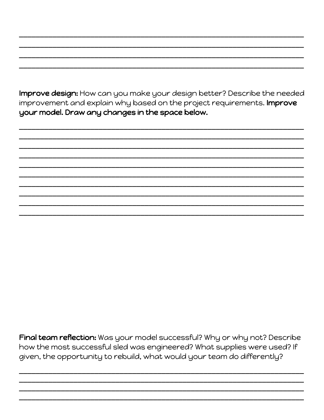Improve design: How can you make your design better? Describe the needed improvement and explain why based on the project requirements. Improve your model. Draw any changes in the space below.

Final team reflection: Was your model successful? Why or why not? Describe how the most successful sled was engineered? What supplies were used? If given, the opportunity to rebuild, what would your team do differently?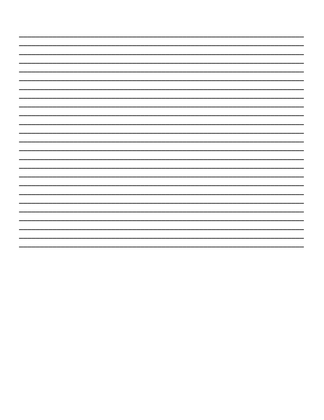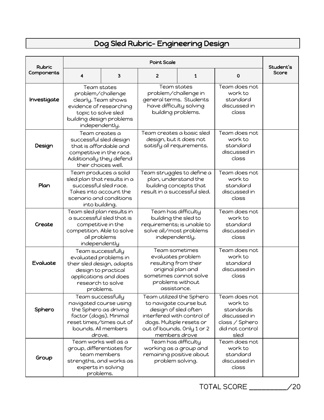#### Dog Sled Rubric- Engineering Design

| Rubric      | <b>Point Scale</b>                                                                                                                                          |   |                                                                                                                                                                                     |              | Student's                                                                                          |       |
|-------------|-------------------------------------------------------------------------------------------------------------------------------------------------------------|---|-------------------------------------------------------------------------------------------------------------------------------------------------------------------------------------|--------------|----------------------------------------------------------------------------------------------------|-------|
| Components  | 4                                                                                                                                                           | 3 | 2                                                                                                                                                                                   | $\mathbf{1}$ | 0                                                                                                  | Score |
| Investigate | Team states<br>problem/challenge<br>clearly. Team shows<br>evidence of researching<br>topic to solve sled<br>building design problems<br>independently.     |   | Team states<br>problem/challenge in<br>general terms. Students<br>have difficulty solving<br>building problems.                                                                     |              | Team does not<br>work to<br>standard<br>discussed in<br>class                                      |       |
| Design      | Team creates a<br>successful sled design<br>that is affordable and<br>competitive in the race.<br>Additionally they defend<br>their choices well.           |   | Team creates a basic sled<br>design, but it does not<br>satisfy all requirements.                                                                                                   |              | Team does not<br>work to<br>standard<br>discussed in<br>class                                      |       |
| Plan        | Team produces a solid<br>sled plan that results in a<br>successful sled race.<br>Takes into account the<br>scenario and conditions<br>into building.        |   | Team struggles to define a<br>plan, understand the<br>building concepts that<br>result in a successful sled.                                                                        |              | Team does not<br>work to<br>standard<br>discussed in<br>class                                      |       |
| Create      | Team sled plan results in<br>a successful sled that is<br>competitive in the<br>competition. Able to solve<br>all problems<br>independently                 |   | Team has difficulty<br>building the sled to<br>requirements; is unable to<br>solve all/most problems<br>independently.                                                              |              | Team does not<br>work to<br>standard<br>discussed in<br>class                                      |       |
| Evaluate    | Team successfully<br>evaluated problems in<br>their sled design, adapts<br>design to practical<br>applications and does<br>research to solve<br>problems.   |   | Team sometimes<br>evaluates problem<br>resulting from their<br>original plan and<br>sometimes cannot solve<br>problems without<br>assistance.                                       |              | Team does not<br>work to<br>standard<br>discussed in<br>class                                      |       |
| Sphero      | Team successfully<br>navigated course using<br>the Sphero as driving<br>factor (dogs). Minimal<br>reset times/times out of<br>bounds. All members<br>drove. |   | Team utilized the Sphero<br>to navigate course but<br>design of sled often<br>interfered with control of<br>dogs. Multiple resets or<br>out of bounds. Only 1 or 2<br>members drove |              | Team does not<br>work to<br>standards<br>discussed in<br>class / Sphero<br>did not control<br>sled |       |
| Group       | Team works well as a<br>group, differentiates for<br>team members<br>strengths, and works as<br>experts in solving<br>problems.                             |   | Team has difficulty<br>working as a group and<br>remaining positive about<br>problem solving.                                                                                       |              | Team does not<br>work to<br>standard<br>discussed in<br>class                                      |       |

TOTAL SCORE \_\_\_\_\_\_\_\_\_/20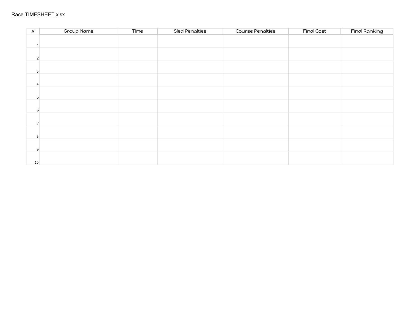#### Race TIMESHEET.xlsx

| $\#$           | Group Name | Time | Sled Penalties | Course Penalties | <b>Final Cost</b> | Final Ranking |
|----------------|------------|------|----------------|------------------|-------------------|---------------|
|                |            |      |                |                  |                   |               |
| $\overline{2}$ |            |      |                |                  |                   |               |
| $\mathbf{3}$   |            |      |                |                  |                   |               |
|                |            |      |                |                  |                   |               |
| 5 <sup>5</sup> |            |      |                |                  |                   |               |
| 6              |            |      |                |                  |                   |               |
| $\overline{7}$ |            |      |                |                  |                   |               |
| 8              |            |      |                |                  |                   |               |
| 9              |            |      |                |                  |                   |               |
| 10             |            |      |                |                  |                   |               |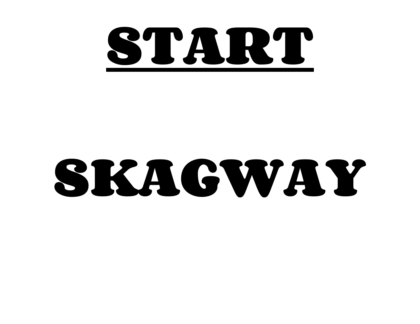

## **SKAGWAY**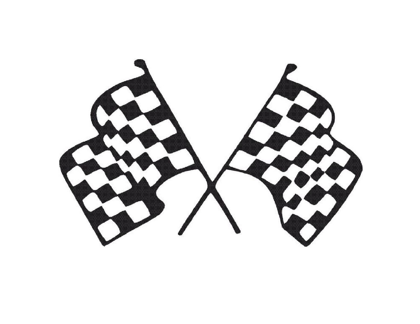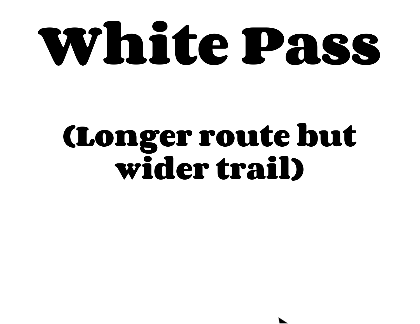# **White Pass**

### **(Longer route but wider trail)**